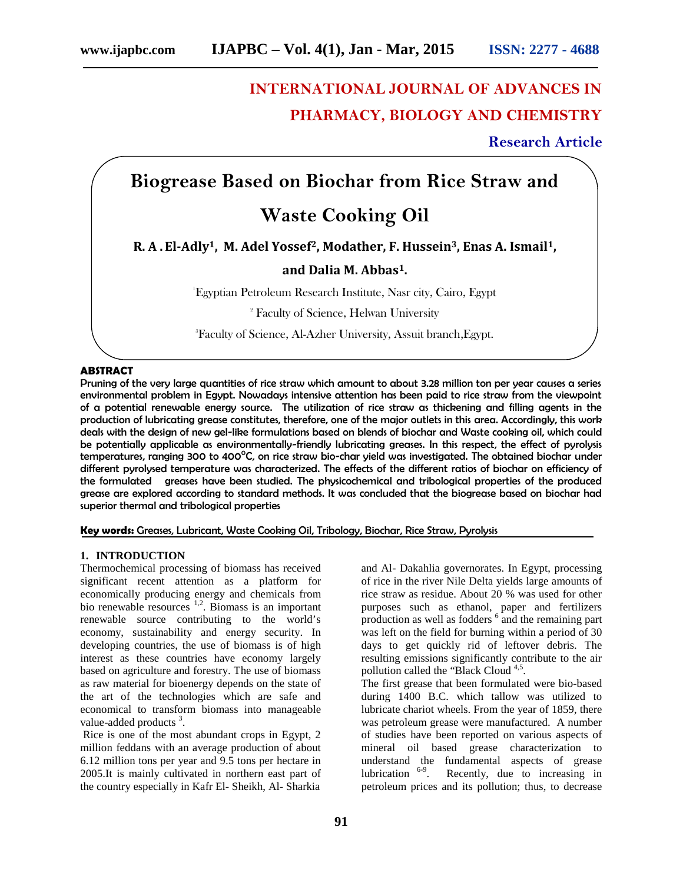# **INTERNATIONAL JOURNAL OF ADVANCES IN PHARMACY, BIOLOGY AND CHEMISTRY**

**Research Article**

## **Biogrease Based on Biochar from Rice Straw and**

### **Waste Cooking Oil**

**R. A . El-Adly1, M. Adel Yossef2, Modather, F. Hussein3, Enas A. Ismail1,**

#### **and Dalia M. Abbas1.**

<sup>1</sup>Egyptian Petroleum Research Institute, Nasr city, Cairo, Egypt

<sup>2</sup> Faculty of Science, Helwan University

3Faculty of Science, Al-Azher University, Assuit branch,Egypt.

#### **ABSTRACT**

Pruning of the very large quantities of rice straw which amount to about 3.28 million ton per year causes a series environmental problem in Egypt. Nowadays intensive attention has been paid to rice straw from the viewpoint of a potential renewable energy source. The utilization of rice straw as thickening and filling agents in the production of lubricating grease constitutes, therefore, one of the major outlets in this area. Accordingly, this work deals with the design of new gel-like formulations based on blends of biochar and Waste cooking oil, which could be potentially applicable as environmentally-friendly lubricating greases. In this respect, the effect of pyrolysis temperatures, ranging 300 to 400 $^{\circ}$ C, on rice straw bio-char yield was investigated. The obtained biochar under different pyrolysed temperature was characterized. The effects of the different ratios of biochar on efficiency of the formulated greases have been studied. The physicochemical and tribological properties of the produced grease are explored according to standard methods. It was concluded that the biogrease based on biochar had superior thermal and tribological properties

**Key words:** Greases, Lubricant, Waste Cooking Oil, Tribology, Biochar, Rice Straw, Pyrolysis

#### **1. INTRODUCTION**

Thermochemical processing of biomass has received significant recent attention as a platform for economically producing energy and chemicals from bio renewable resources  $1,2$ . Biomass is an important renewable source contributing to the world's economy, sustainability and energy security. In developing countries, the use of biomass is of high interest as these countries have economy largely based on agriculture and forestry. The use of biomass as raw material for bioenergy depends on the state of the art of the technologies which are safe and economical to transform biomass into manageable value-added products<sup>3</sup>.

Rice is one of the most abundant crops in Egypt, 2 million feddans with an average production of about 6.12 million tons per year and 9.5 tons per hectare in 2005.It is mainly cultivated in northern east part of the country especially in Kafr El- Sheikh, Al- Sharkia and Al- Dakahlia governorates. In Egypt, processing of rice in the river Nile Delta yields large amounts of rice straw as residue. About 20 % was used for other purposes such as ethanol, paper and fertilizers production as well as fodders  $6 \text{ and the remaining part}$ was left on the field for burning within a period of 30 days to get quickly rid of leftover debris. The resulting emissions significantly contribute to the air pollution called the "Black Cloud <sup>4,5</sup>.

The first grease that been formulated were bio-based during 1400 B.C. which tallow was utilized to lubricate chariot wheels. From the year of 1859, there was petroleum grease were manufactured. A number of studies have been reported on various aspects of mineral oil based grease characterization to understand the fundamental aspects of grease lubrication  $6-9$ . Recently, due to increasing in petroleum prices and its pollution; thus, to decrease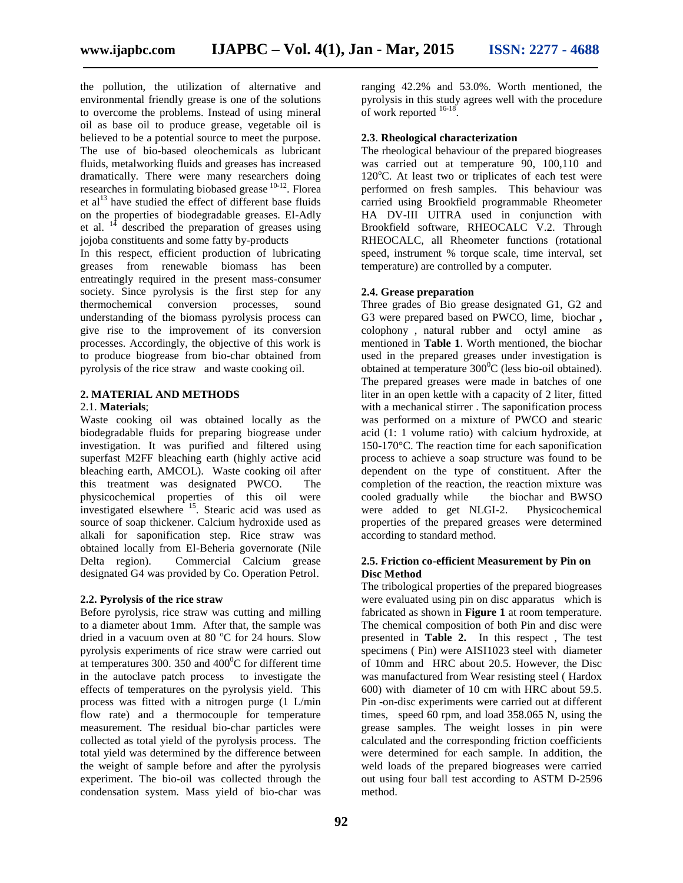the pollution, the utilization of alternative and environmental friendly grease is one of the solutions to overcome the problems. Instead of using mineral oil as base oil to produce grease, vegetable oil is believed to be a potential source to meet the purpose. The use of bio-based oleochemicals as lubricant fluids, metalworking fluids and greases has increased dramatically. There were many researchers doing researches in formulating biobased grease <sup>10-12</sup>. Florea et al<sup>13</sup> have studied the effect of different base fluids on the properties of biodegradable greases. El-Adly et al.  $14$  described the preparation of greases using jojoba constituents and some fatty by-products

In this respect, efficient production of lubricating greases from renewable biomass has been entreatingly required in the present mass-consumer society. Since pyrolysis is the first step for any thermochemical conversion processes, sound understanding of the biomass pyrolysis process can give rise to the improvement of its conversion processes. Accordingly, the objective of this work is to produce biogrease from bio-char obtained from pyrolysis of the rice straw and waste cooking oil.

## **2. MATERIAL AND METHODS**

#### 2.1. **Materials**;

Waste cooking oil was obtained locally as the biodegradable fluids for preparing biogrease under investigation. It was purified and filtered using superfast M2FF bleaching earth (highly active acid bleaching earth, AMCOL). Waste cooking oil after this treatment was designated PWCO. The physicochemical properties of this oil were investigated elsewhere <sup>15</sup> .Stearic acid was used as source of soap thickener. Calcium hydroxide used as alkali for saponification step. Rice straw was obtained locally from El-Beheria governorate (Nile Delta region). Commercial Calcium grease designated G4 was provided by Co. Operation Petrol.

#### **2.2. Pyrolysis of the rice straw**

Before pyrolysis, rice straw was cutting and milling to a diameter about 1mm. After that, the sample was dried in a vacuum oven at 80  $^{\circ}$ C for 24 hours. Slow pyrolysis experiments of rice straw were carried out at temperatures 300. 350 and  $400^{\circ}$ C for different time in the autoclave patch process to investigate the effects of temperatures on the pyrolysis yield. This process was fitted with a nitrogen purge (1 L/min flow rate) and a thermocouple for temperature measurement. The residual bio-char particles were collected as total yield of the pyrolysis process. The total yield was determined by the difference between the weight of sample before and after the pyrolysis experiment. The bio-oil was collected through the condensation system. Mass yield of bio-char was

ranging 42.2% and 53.0%. Worth mentioned, the pyrolysis in this study agrees well with the procedure of work reported 16-18 .

#### **2.3**. **Rheological characterization**

The rheological behaviour of the prepared biogreases was carried out at temperature 90, 100,110 and  $120^{\circ}$ C. At least two or triplicates of each test were performed on fresh samples. This behaviour was carried using Brookfield programmable Rheometer HA DV-III UITRA used in conjunction with Brookfield software, RHEOCALC V.2. Through RHEOCALC, all Rheometer functions (rotational speed, instrument % torque scale, time interval, set temperature) are controlled by a computer.

#### **2.4. Grease preparation**

Three grades of Bio grease designated G1, G2 and G3 were prepared based on PWCO, lime, biochar **,**colophony , natural rubber and octyl amine as mentioned in **Table 1**. Worth mentioned, the biochar used in the prepared greases under investigation is obtained at temperature 300 <sup>0</sup>C (less bio-oil obtained). The prepared greases were made in batches of one liter in an open kettle with a capacity of 2 liter, fitted with a mechanical stirrer. The saponification process was performed on a mixture of PWCO and stearic acid (1: 1 volume ratio) with calcium hydroxide, at 150-170°C. The reaction time for each saponification process to achieve a soap structure was found to be dependent on the type of constituent. After the completion of the reaction, the reaction mixture was cooled gradually while the biochar and BWSO were added to get NLGI-2. Physicochemical properties of the prepared greases were determined according to standard method.

#### **2.5. Friction co-efficient Measurement by Pin on Disc Method**

The tribological properties of the prepared biogreases were evaluated using pin on disc apparatus which is fabricated as shown in **Figure 1** at room temperature. The chemical composition of both Pin and disc were presented in **Table 2.** In this respect , The test specimens ( Pin) were AISI1023 steel with diameter of 10mm and HRC about 20.5. However, the Disc was manufactured from Wear resisting steel ( Hardox 600) with diameter of 10 cm with HRC about 59.5. Pin -on-disc experiments were carried out at different times, speed 60 rpm, and load 358.065 N, using the grease samples. The weight losses in pin were calculated and the corresponding friction coefficients were determined for each sample. In addition, the weld loads of the prepared biogreases were carried out using four ball test according to ASTM D-2596 method.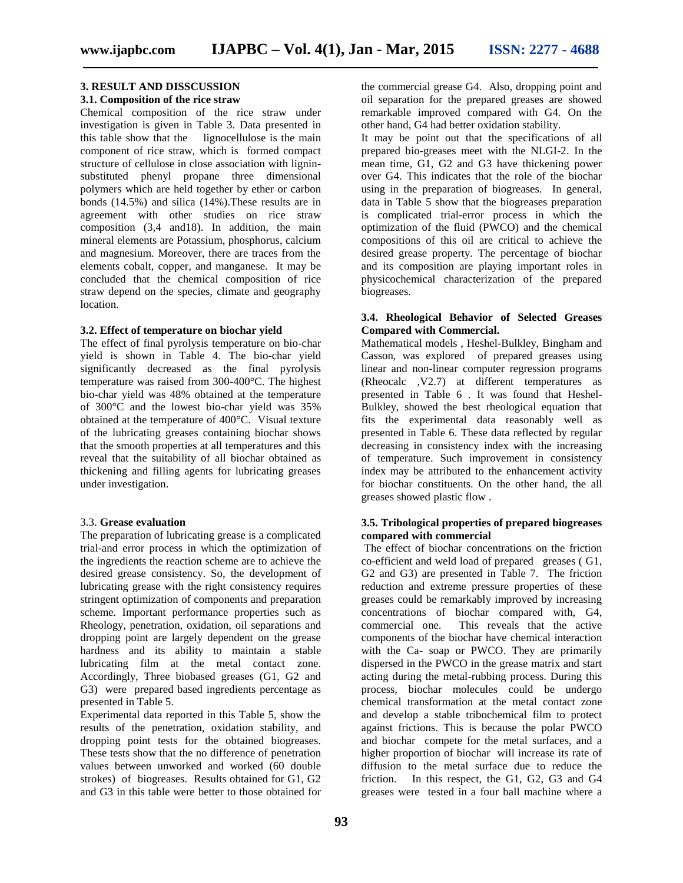#### **3. RESULT AND DISSCUSSION**

#### **3.1. Composition of the rice straw**

Chemical composition of the rice straw under investigation is given in Table 3. Data presented in this table show that the lignocellulose is the main component of rice straw, which is formed compact structure of cellulose in close association with lignin substituted phenyl propane three dimensional polymers which are held together by ether or carbon bonds (14.5%) and silica (14%).These results are in agreement with other studies on rice straw composition (3,4 and18). In addition, the main mineral elements are Potassium, phosphorus, calcium and magnesium. Moreover, there are traces from the elements cobalt, copper, and manganese. It may be concluded that the chemical composition of rice straw depend on the species, climate and geography location.

#### **3.2. Effect of temperature on biochar yield**

The effect of final pyrolysis temperature on bio-char yield is shown in Table 4. The bio-char yield significantly decreased as the final pyrolysis temperature was raised from 300-400°C. The highest bio-char yield was 48% obtained at the temperature of 300°C and the lowest bio-char yield was 35% obtained at the temperature of 400°C. Visual texture of the lubricating greases containing biochar shows that the smooth properties at all temperatures and this reveal that the suitability of all biochar obtained as thickening and filling agents for lubricating greases under investigation.

#### 3.3. **Grease evaluation**

The preparation of lubricating grease is a complicated trial-and error process in which the optimization of the ingredients the reaction scheme are to achieve the desired grease consistency. So, the development of lubricating grease with the right consistency requires stringent optimization of components and preparation scheme. Important performance properties such as Rheology, penetration, oxidation, oil separations and commercial one. dropping point are largely dependent on the grease hardness and its ability to maintain a stable lubricating film at the metal contact zone. Accordingly, Three biobased greases (G1, G2 and G3) were prepared based ingredients percentage as presented in Table 5.

Experimental data reported in this Table 5, show the results of the penetration, oxidation stability, and dropping point tests for the obtained biogreases. These tests show that the no difference of penetration values between unworked and worked (60 double strokes) of biogreases. Results obtained for G1, G2 and G3 in this table were better to those obtained for the commercial grease G4. Also, dropping point and oil separation for the prepared greases are showed remarkable improved compared with G4. On the other hand, G4 had better oxidation stability.

It may be point out that the specifications of all prepared bio-greases meet with the NLGI-2. In the mean time, G1, G2 and G3 have thickening power over G4. This indicates that the role of the biochar using in the preparation of biogreases. In general, data in Table 5 show that the biogreases preparation is complicated trial-error process in which the optimization of the fluid (PWCO) and the chemical compositions of this oil are critical to achieve the desired grease property. The percentage of biochar and its composition are playing important roles in physicochemical characterization of the prepared biogreases.

#### **3.4. Rheological Behavior of Selected Greases Compared with Commercial.**

Mathematical models , Heshel-Bulkley, Bingham and Casson, was explored of prepared greases using linear and non-linear computer regression programs (Rheocalc ,V2.7) at different temperatures as presented in Table 6 . It was found that Heshel- Bulkley, showed the best rheological equation that fits the experimental data reasonably well as presented in Table 6. These data reflected by regular decreasing in consistency index with the increasing of temperature. Such improvement in consistency index may be attributed to the enhancement activity for biochar constituents. On the other hand, the all greases showed plastic flow .

#### **3.5. Tribological properties of prepared biogreases compared with commercial**

The effect of biochar concentrations on the friction co-efficient and weld load of prepared greases ( G1, G2 and G3) are presented in Table 7. The friction reduction and extreme pressure properties of these greases could be remarkably improved by increasing concentrations of biochar compared with, G4, This reveals that the active components of the biochar have chemical interaction with the Ca- soap or PWCO. They are primarily dispersed in the PWCO in the grease matrix and start acting during the metal-rubbing process. During this process, biochar molecules could be undergo chemical transformation at the metal contact zone and develop a stable tribochemical film to protect against frictions. This is because the polar PWCO and biochar compete for the metal surfaces, and a higher proportion of biochar will increase its rate of diffusion to the metal surface due to reduce the friction. In this respect, the G1, G2, G3 and G4 greases were tested in a four ball machine where a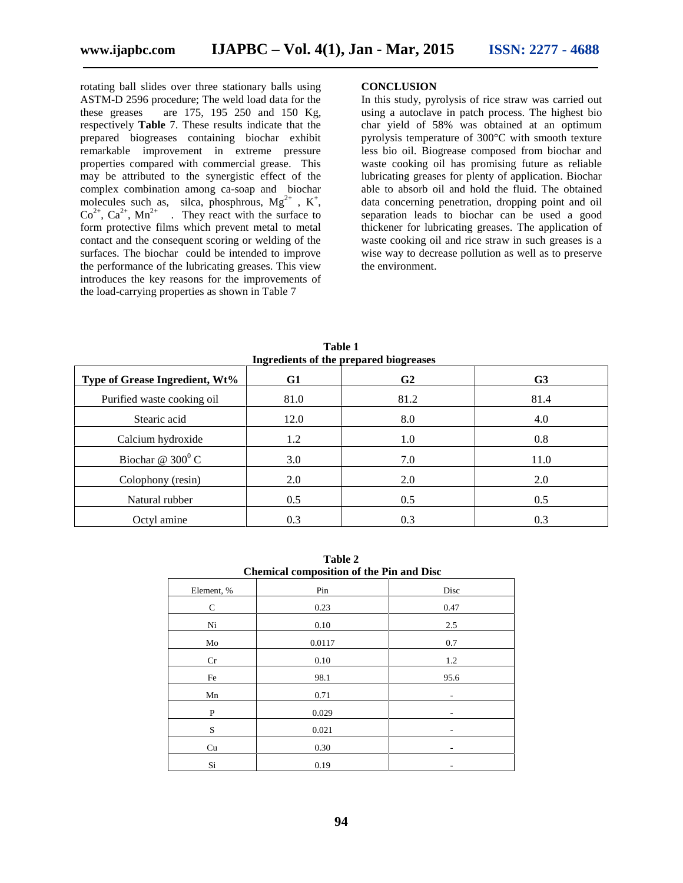rotating ball slides over three stationary balls using ASTM-D 2596 procedure; The weld load data for the these greases are 175, 195 250 and 150 Kg, respectively **Table** 7. These results indicate that the prepared biogreases containing biochar exhibit remarkable improvement in extreme pressure properties compared with commercial grease. This may be attributed to the synergistic effect of the complex combination among ca-soap and biochar molecules such as, silca, phosphrous,  $Mg^{2+}$ ,  $K^+$ ,  $Co^{2+}$ ,  $Ca^{2+}$ ,  $Mn^{2+}$  . They react with the surface to form protective films which prevent metal to metal contact and the consequent scoring or welding of the surfaces. The biochar could be intended to improve the performance of the lubricating greases. This view introduces the key reasons for the improvements of the load-carrying properties as shown in Table 7

#### **CONCLUSION**

In this study, pyrolysis of rice straw was carried out using a autoclave in patch process. The highest bio char yield of 58% was obtained at an optimum pyrolysis temperature of 300°C with smooth texture less bio oil. Biogrease composed from biochar and waste cooking oil has promising future as reliable lubricating greases for plenty of application. Biochar able to absorb oil and hold the fluid. The obtained data concerning penetration, dropping point and oil separation leads to biochar can be used a good thickener for lubricating greases. The application of waste cooking oil and rice straw in such greases is a wise way to decrease pollution as well as to preserve the environment.

| <b>Ingredients of the prepared biogreases</b> |      |                |                |  |  |  |
|-----------------------------------------------|------|----------------|----------------|--|--|--|
| Type of Grease Ingredient, Wt%                | G1   | G <sub>2</sub> | G <sub>3</sub> |  |  |  |
| Purified waste cooking oil                    | 81.0 | 81.2           | 81.4           |  |  |  |
| Stearic acid                                  | 12.0 | 8.0            | 4.0            |  |  |  |
| Calcium hydroxide                             | 1.2  | 1.0            | 0.8            |  |  |  |
| Biochar @ $300^0$ C                           | 3.0  | 7.0            | 11.0           |  |  |  |
| Colophony (resin)                             | 2.0  | 2.0            | 2.0            |  |  |  |
| Natural rubber                                | 0.5  | 0.5            | 0.5            |  |  |  |
| Octyl amine                                   | 0.3  | 0.3            | 0.3            |  |  |  |

**Table 1**

| <b>Chemical composition of the Pin and Disc</b> |        |                              |  |  |
|-------------------------------------------------|--------|------------------------------|--|--|
| Element, %                                      | Pin    | Disc                         |  |  |
| C                                               | 0.23   | 0.47                         |  |  |
| Ni                                              | 0.10   | 2.5                          |  |  |
| Mo                                              | 0.0117 | 0.7                          |  |  |
| Cr                                              | 0.10   | 1.2                          |  |  |
| Fe                                              | 98.1   | 95.6                         |  |  |
| Mn                                              | 0.71   | $\qquad \qquad \blacksquare$ |  |  |
| P                                               | 0.029  |                              |  |  |
| S                                               | 0.021  |                              |  |  |
| Cu                                              | 0.30   |                              |  |  |
| Si                                              | 0.19   | ۰                            |  |  |

**Table 2**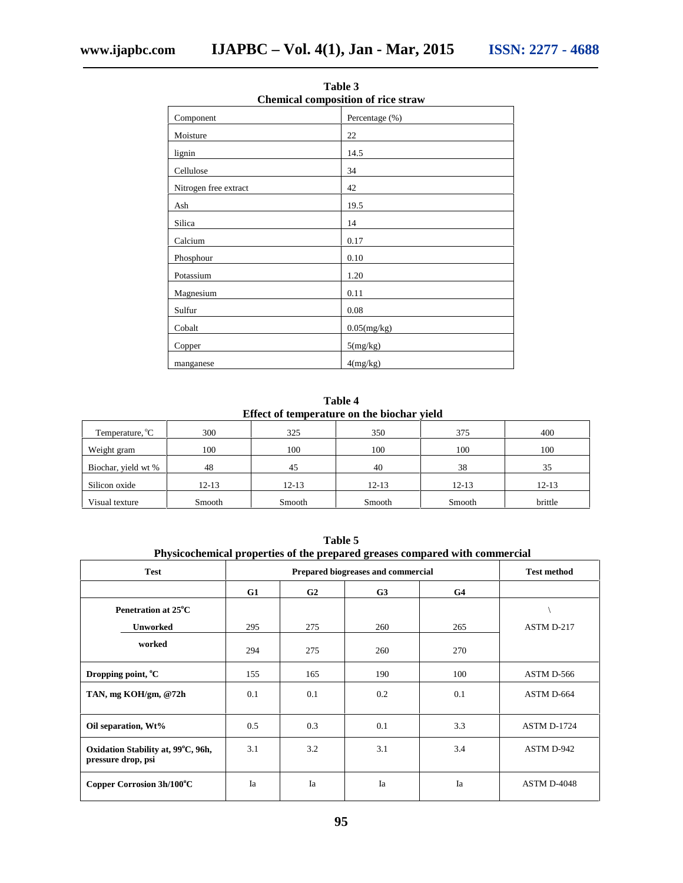| Chenneal composition of fice straw |                |  |  |  |  |
|------------------------------------|----------------|--|--|--|--|
| Component                          | Percentage (%) |  |  |  |  |
| Moisture                           | 22             |  |  |  |  |
| lignin                             | 14.5           |  |  |  |  |
| Cellulose                          | 34             |  |  |  |  |
| Nitrogen free extract              | 42             |  |  |  |  |
| Ash                                | 19.5           |  |  |  |  |
| Silica                             | 14             |  |  |  |  |
| Calcium                            | 0.17           |  |  |  |  |
| Phosphour                          | 0.10           |  |  |  |  |
| Potassium                          | 1.20           |  |  |  |  |
| Magnesium                          | 0.11           |  |  |  |  |
| Sulfur                             | 0.08           |  |  |  |  |
| Cobalt                             | $0.05$ (mg/kg) |  |  |  |  |
| Copper                             | 5(mg/kg)       |  |  |  |  |
| manganese                          | 4(mg/kg)       |  |  |  |  |

**Table 3 Chemical composition of rice straw**

**Table 4 Effect of temperature on the biochar yield**

| Temperature, <sup>o</sup> C | 300    | 325       | 350       | 375       | 400       |
|-----------------------------|--------|-----------|-----------|-----------|-----------|
| Weight gram                 | 100    | 100       | 100       | 100       | 100       |
| Biochar, yield wt %         | 48     | 45        | 40        | 38        | 35        |
| Silicon oxide               | 12-13  | $12 - 13$ | $12 - 13$ | $12 - 13$ | $12 - 13$ |
| Visual texture              | Smooth | Smooth    | Smooth    | Smooth    | brittle   |

**Table 5 Physicochemical properties of the prepared greases compared with commercial**

| Test                                                     | Prepared biogreases and commercial |     |                |     | <b>Test method</b> |
|----------------------------------------------------------|------------------------------------|-----|----------------|-----|--------------------|
|                                                          | G1                                 | G2  | G <sub>3</sub> | G4  |                    |
| Penetration at 25 <sup>°</sup> C                         |                                    |     |                |     |                    |
| <b>Unworked</b>                                          | 295                                | 275 | 260            | 265 | ASTM D-217         |
| worked                                                   | 294                                | 275 | 260            | 270 |                    |
| Dropping point, <sup>o</sup> C                           | 155                                | 165 | 190            | 100 | ASTM D-566         |
| TAN, mg KOH/gm, @72h                                     | 0.1                                | 0.1 | 0.2            | 0.1 | ASTM D-664         |
| Oil separation, Wt%                                      | 0.5                                | 0.3 | 0.1            | 3.3 | <b>ASTM D-1724</b> |
| Oxidation Stability at, 99°C, 96h,<br>pressure drop, psi | 3.1                                | 3.2 | 3.1            | 3.4 | ASTM D-942         |
| Copper Corrosion 3h/100°C                                | Ia                                 | Ia  | Ia             | Ia  | <b>ASTM D-4048</b> |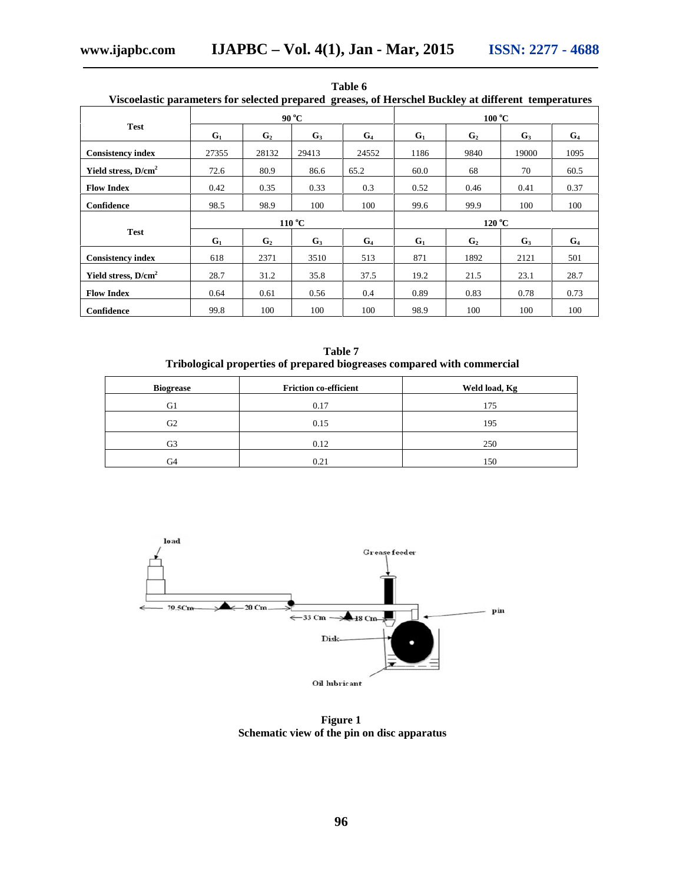| viscociastic parameters for selected prepared "greases, or frei schef buckley at unferent" temperatures |       |                           |       |       |                 |                 |       |       |
|---------------------------------------------------------------------------------------------------------|-------|---------------------------|-------|-------|-----------------|-----------------|-------|-------|
|                                                                                                         |       | 90 °C                     |       |       |                 | $100\text{ °C}$ |       |       |
| Test                                                                                                    | $G_1$ | G <sub>2</sub>            | $G_3$ | $G_4$ | $G_1$           | G <sub>2</sub>  | $G_3$ | $G_4$ |
| <b>Consistency index</b>                                                                                | 27355 | 28132                     | 29413 | 24552 | 1186            | 9840            | 19000 | 1095  |
| Yield stress, D/cm <sup>2</sup>                                                                         | 72.6  | 80.9                      | 86.6  | 65.2  | 60.0            | 68              | 70    | 60.5  |
| <b>Flow Index</b>                                                                                       | 0.42  | 0.35                      | 0.33  | 0.3   | 0.52            | 0.46            | 0.41  | 0.37  |
| Confidence                                                                                              | 98.5  | 98.9                      | 100   | 100   | 99.6            | 99.9            | 100   | 100   |
|                                                                                                         |       | $110\,^{\circ}\mathrm{C}$ |       |       | $120\text{ °C}$ |                 |       |       |
| <b>Test</b>                                                                                             | $G_1$ | G <sub>2</sub>            | $G_3$ | $G_4$ | $G_1$           | G <sub>2</sub>  | $G_3$ | $G_4$ |
| <b>Consistency index</b>                                                                                | 618   | 2371                      | 3510  | 513   | 871             | 1892            | 2121  | 501   |
| Yield stress, D/cm <sup>2</sup>                                                                         | 28.7  | 31.2                      | 35.8  | 37.5  | 19.2            | 21.5            | 23.1  | 28.7  |
| <b>Flow Index</b>                                                                                       | 0.64  | 0.61                      | 0.56  | 0.4   | 0.89            | 0.83            | 0.78  | 0.73  |
| Confidence                                                                                              | 99.8  | 100                       | 100   | 100   | 98.9            | 100             | 100   | 100   |

**Table 6 Viscoelastic parameters for selected prepared greases, of Herschel Buckley at different temperatures**

**Table 7 Tribological properties of prepared biogreases compared with commercial**

| <b>Biogrease</b> | <b>Friction co-efficient</b> | Weld load, Kg |
|------------------|------------------------------|---------------|
| G1               | 0.17                         | 175           |
| G2               | 0.15                         | 195           |
| G3               | 0.12                         | 250           |
| G4               | 0.21                         | 150           |



**Figure 1 Schematic view of the pin on disc apparatus**